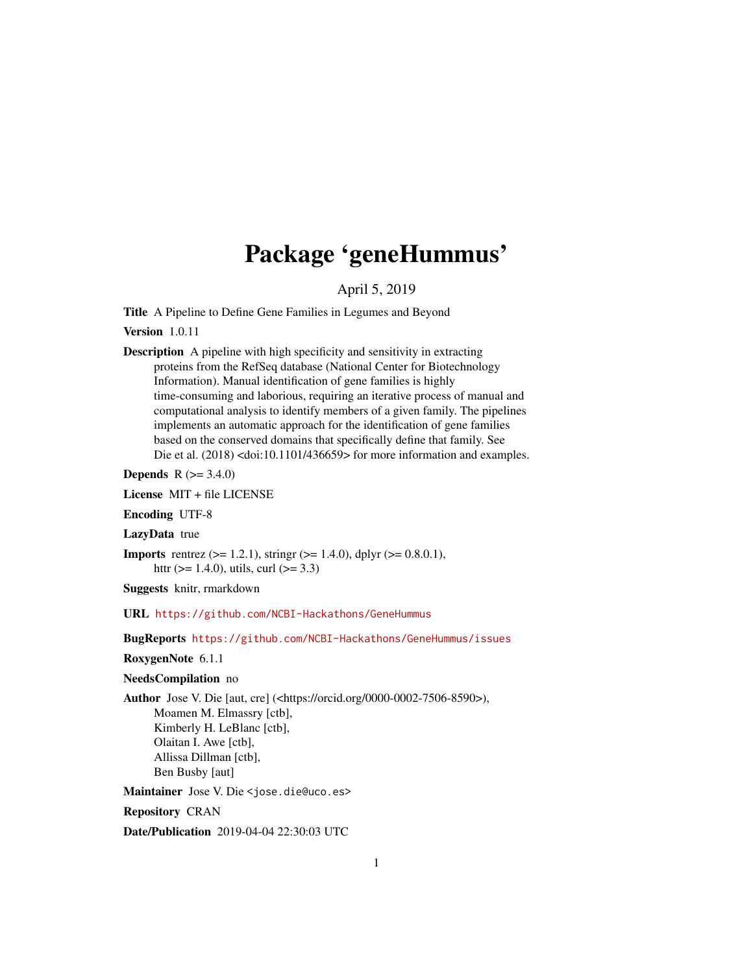# Package 'geneHummus'

April 5, 2019

Title A Pipeline to Define Gene Families in Legumes and Beyond

Version 1.0.11

Description A pipeline with high specificity and sensitivity in extracting proteins from the RefSeq database (National Center for Biotechnology Information). Manual identification of gene families is highly time-consuming and laborious, requiring an iterative process of manual and computational analysis to identify members of a given family. The pipelines implements an automatic approach for the identification of gene families based on the conserved domains that specifically define that family. See Die et al. (2018) <doi:10.1101/436659> for more information and examples.

**Depends**  $R (= 3.4.0)$ 

License MIT + file LICENSE

Encoding UTF-8

LazyData true

**Imports** rentrez ( $>= 1.2.1$ ), stringr ( $>= 1.4.0$ ), dplyr ( $>= 0.8.0.1$ ), httr ( $> = 1.4.0$ ), utils, curl ( $>= 3.3$ )

Suggests knitr, rmarkdown

URL <https://github.com/NCBI-Hackathons/GeneHummus>

BugReports <https://github.com/NCBI-Hackathons/GeneHummus/issues>

RoxygenNote 6.1.1

#### NeedsCompilation no

Author Jose V. Die [aut, cre] (<https://orcid.org/0000-0002-7506-8590>), Moamen M. Elmassry [ctb], Kimberly H. LeBlanc [ctb], Olaitan I. Awe [ctb], Allissa Dillman [ctb], Ben Busby [aut]

Maintainer Jose V. Die <jose.die@uco.es>

Repository CRAN

Date/Publication 2019-04-04 22:30:03 UTC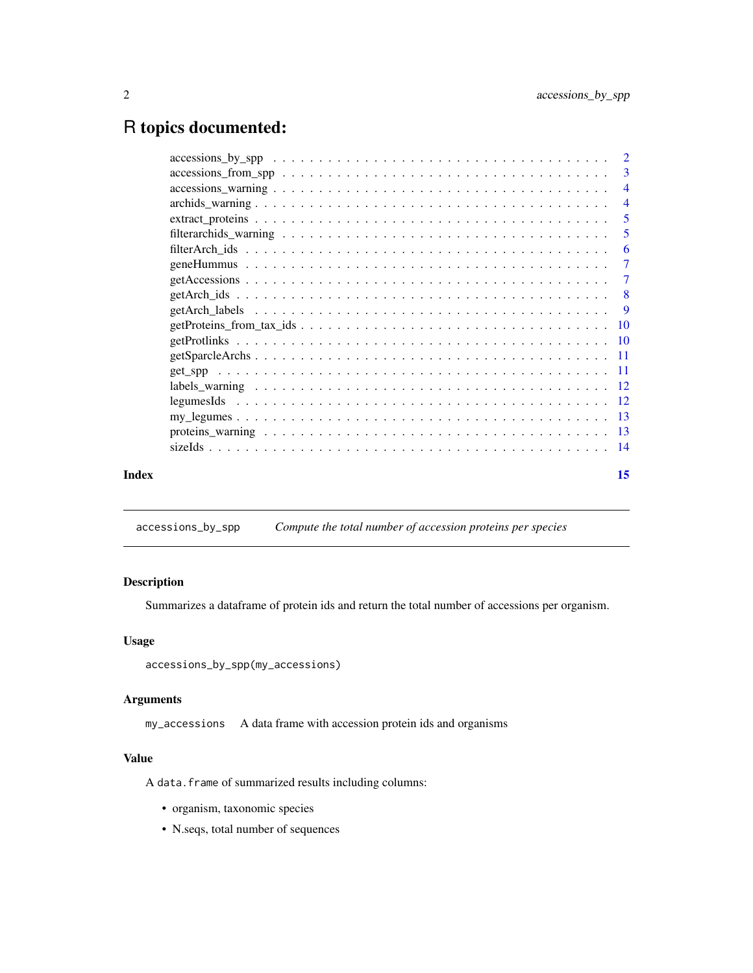# <span id="page-1-0"></span>R topics documented:

|       | $accessions_by_spp \dots \dots \dots \dots \dots \dots \dots \dots \dots \dots \dots \dots \dots \dots \dots \dots \dots$ |                            |
|-------|---------------------------------------------------------------------------------------------------------------------------|----------------------------|
|       | $accessions_from_spp \dots \dots \dots \dots \dots \dots \dots \dots \dots \dots \dots \dots \dots \dots \dots \dots$     |                            |
|       | $accessions_warming \dots \dots \dots \dots \dots \dots \dots \dots \dots \dots \dots \dots \dots \dots \dots \dots$      | $\overline{4}$             |
|       |                                                                                                                           |                            |
|       |                                                                                                                           | $\overline{\phantom{0}}$ 5 |
|       |                                                                                                                           | 5                          |
|       |                                                                                                                           | -6                         |
|       |                                                                                                                           |                            |
|       |                                                                                                                           |                            |
|       |                                                                                                                           |                            |
|       |                                                                                                                           |                            |
|       |                                                                                                                           |                            |
|       |                                                                                                                           |                            |
|       |                                                                                                                           |                            |
|       |                                                                                                                           |                            |
|       |                                                                                                                           |                            |
|       |                                                                                                                           |                            |
|       |                                                                                                                           |                            |
|       |                                                                                                                           |                            |
|       |                                                                                                                           |                            |
| Index |                                                                                                                           | 15                         |

<span id="page-1-1"></span>accessions\_by\_spp *Compute the total number of accession proteins per species*

# Description

Summarizes a dataframe of protein ids and return the total number of accessions per organism.

#### Usage

```
accessions_by_spp(my_accessions)
```
### Arguments

my\_accessions A data frame with accession protein ids and organisms

#### Value

A data.frame of summarized results including columns:

- organism, taxonomic species
- N.seqs, total number of sequences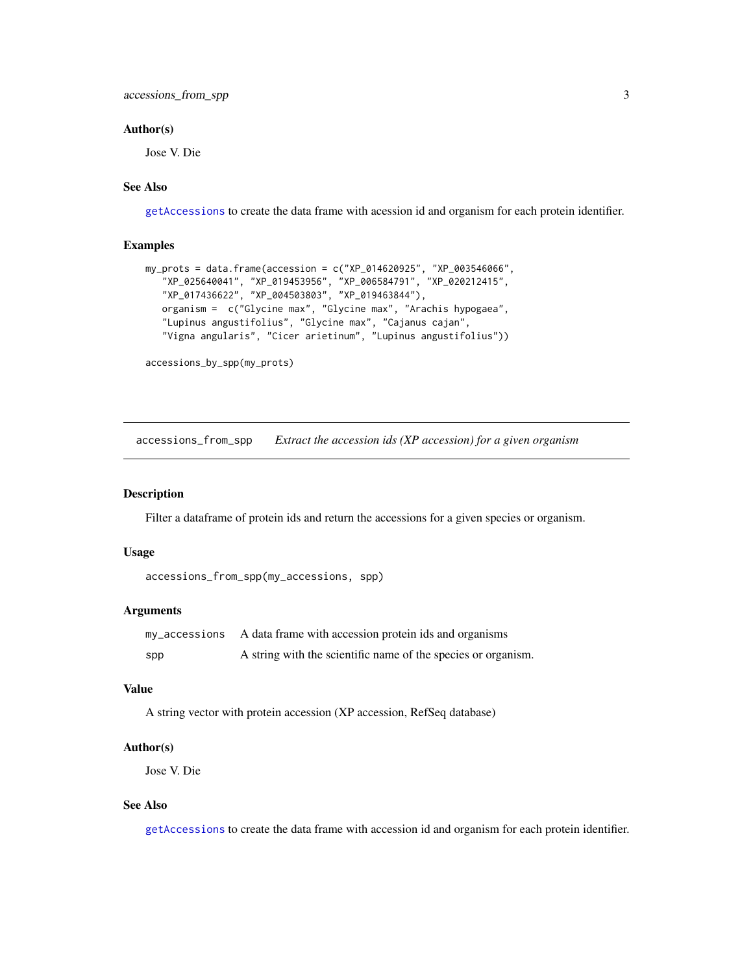<span id="page-2-0"></span>accessions\_from\_spp 3

#### Author(s)

Jose V. Die

#### See Also

[getAccessions](#page-6-1) to create the data frame with acession id and organism for each protein identifier.

#### Examples

```
my_prots = data.frame(accession = c("XP_014620925", "XP_003546066",
   "XP_025640041", "XP_019453956", "XP_006584791", "XP_020212415",
   "XP_017436622", "XP_004503803", "XP_019463844"),
  organism = c("Glycine max", "Glycine max", "Arachis hypogaea",
   "Lupinus angustifolius", "Glycine max", "Cajanus cajan",
   "Vigna angularis", "Cicer arietinum", "Lupinus angustifolius"))
accessions_by_spp(my_prots)
```
<span id="page-2-1"></span>accessions\_from\_spp *Extract the accession ids (XP accession) for a given organism*

#### Description

Filter a dataframe of protein ids and return the accessions for a given species or organism.

#### Usage

```
accessions_from_spp(my_accessions, spp)
```
#### Arguments

|     | my_accessions A data frame with accession protein ids and organisms |
|-----|---------------------------------------------------------------------|
| spp | A string with the scientific name of the species or organism.       |

#### Value

A string vector with protein accession (XP accession, RefSeq database)

#### Author(s)

Jose V. Die

#### See Also

[getAccessions](#page-6-1) to create the data frame with accession id and organism for each protein identifier.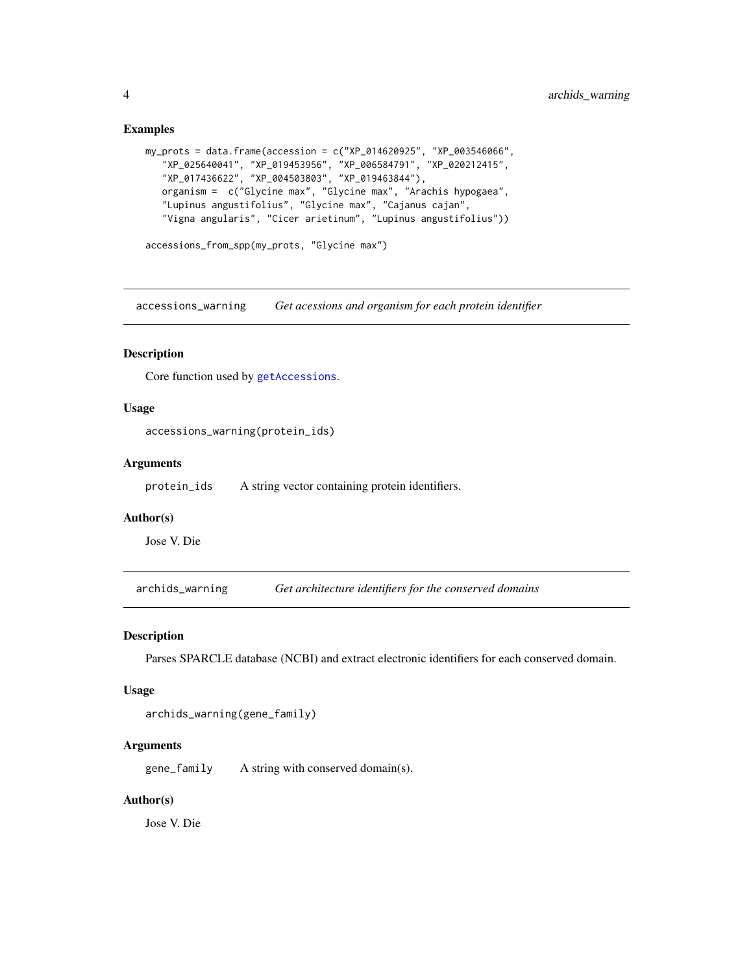#### Examples

```
my_prots = data.frame(accession = c("XP_014620925", "XP_003546066",
   "XP_025640041", "XP_019453956", "XP_006584791", "XP_020212415",
   "XP_017436622", "XP_004503803", "XP_019463844"),
  organism = c("Glycine max", "Glycine max", "Arachis hypogaea",
   "Lupinus angustifolius", "Glycine max", "Cajanus cajan",
   "Vigna angularis", "Cicer arietinum", "Lupinus angustifolius"))
```
accessions\_from\_spp(my\_prots, "Glycine max")

accessions\_warning *Get acessions and organism for each protein identifier*

#### Description

Core function used by [getAccessions](#page-6-1).

#### Usage

accessions\_warning(protein\_ids)

#### Arguments

protein\_ids A string vector containing protein identifiers.

#### Author(s)

Jose V. Die

archids\_warning *Get architecture identifiers for the conserved domains*

#### Description

Parses SPARCLE database (NCBI) and extract electronic identifiers for each conserved domain.

#### Usage

```
archids_warning(gene_family)
```
#### **Arguments**

gene\_family A string with conserved domain(s).

#### Author(s)

<span id="page-3-0"></span>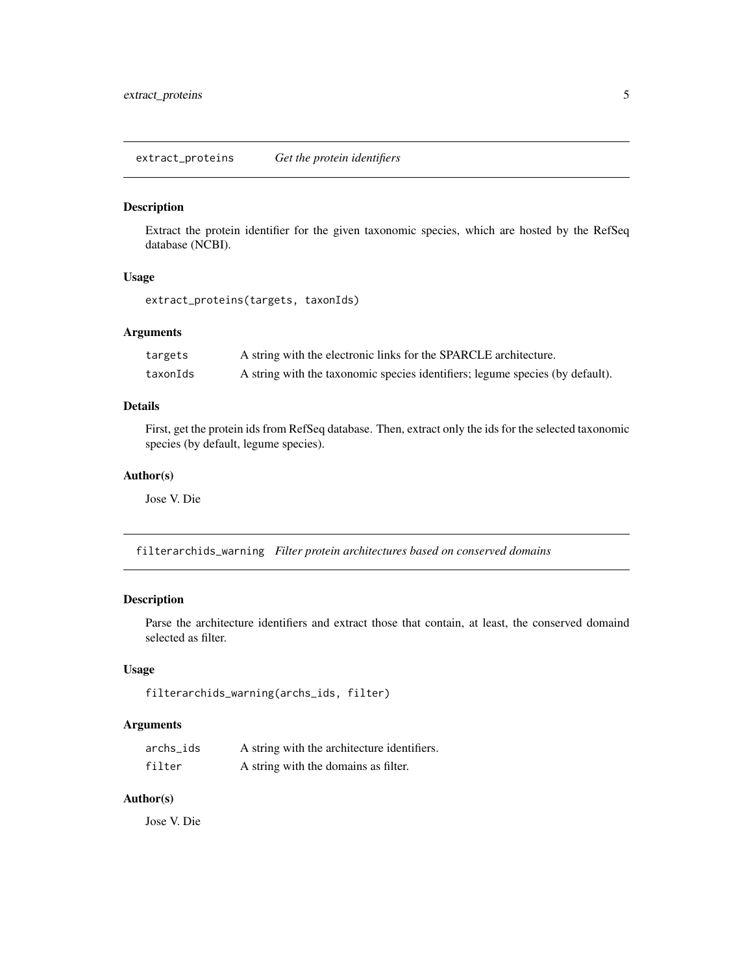<span id="page-4-0"></span>extract\_proteins *Get the protein identifiers*

#### Description

Extract the protein identifier for the given taxonomic species, which are hosted by the RefSeq database (NCBI).

#### Usage

```
extract_proteins(targets, taxonIds)
```
### Arguments

| targets  | A string with the electronic links for the SPARCLE architecture.              |
|----------|-------------------------------------------------------------------------------|
| taxonIds | A string with the taxonomic species identifiers; legume species (by default). |

#### Details

First, get the protein ids from RefSeq database. Then, extract only the ids for the selected taxonomic species (by default, legume species).

#### Author(s)

Jose V. Die

filterarchids\_warning *Filter protein architectures based on conserved domains*

#### Description

Parse the architecture identifiers and extract those that contain, at least, the conserved domaind selected as filter.

### Usage

```
filterarchids_warning(archs_ids, filter)
```
#### Arguments

| archs_ids | A string with the architecture identifiers. |
|-----------|---------------------------------------------|
| filter    | A string with the domains as filter.        |

#### Author(s)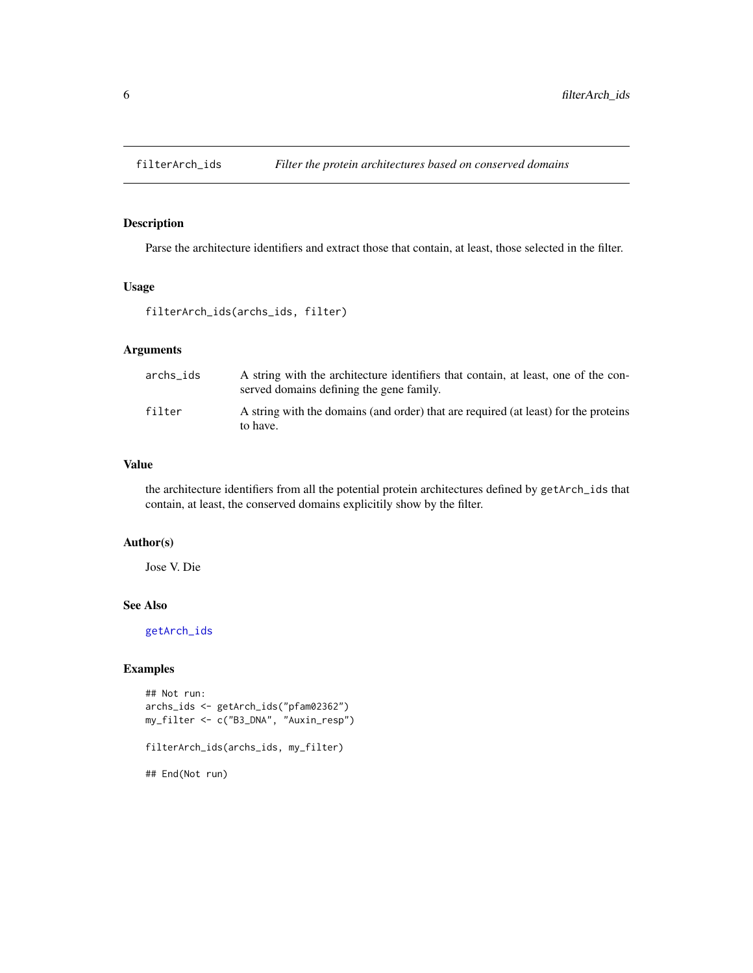<span id="page-5-0"></span>

Parse the architecture identifiers and extract those that contain, at least, those selected in the filter.

#### Usage

filterArch\_ids(archs\_ids, filter)

#### Arguments

| archs ids | A string with the architecture identifiers that contain, at least, one of the con-<br>served domains defining the gene family. |
|-----------|--------------------------------------------------------------------------------------------------------------------------------|
| filter    | A string with the domains (and order) that are required (at least) for the proteins<br>to have.                                |

#### Value

the architecture identifiers from all the potential protein architectures defined by getArch\_ids that contain, at least, the conserved domains explicitily show by the filter.

#### Author(s)

Jose V. Die

### See Also

[getArch\\_ids](#page-7-1)

### Examples

```
## Not run:
archs_ids <- getArch_ids("pfam02362")
my_filter <- c("B3_DNA", "Auxin_resp")
filterArch_ids(archs_ids, my_filter)
## End(Not run)
```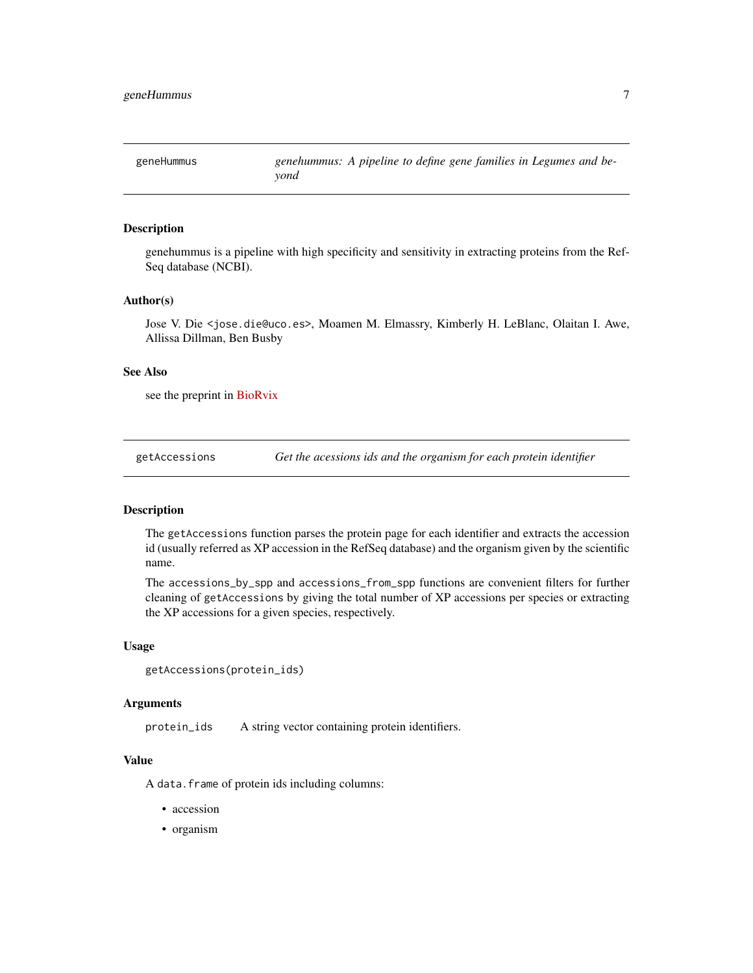<span id="page-6-0"></span>geneHummus *genehummus: A pipeline to define gene families in Legumes and beyond*

#### Description

genehummus is a pipeline with high specificity and sensitivity in extracting proteins from the Ref-Seq database (NCBI).

#### Author(s)

Jose V. Die <jose.die@uco.es>, Moamen M. Elmassry, Kimberly H. LeBlanc, Olaitan I. Awe, Allissa Dillman, Ben Busby

#### See Also

see the preprint in [BioRvix](https://www.biorxiv.org/content/10.1101/436659v1)

<span id="page-6-1"></span>getAccessions *Get the acessions ids and the organism for each protein identifier*

#### Description

The getAccessions function parses the protein page for each identifier and extracts the accession id (usually referred as XP accession in the RefSeq database) and the organism given by the scientific name.

The accessions\_by\_spp and accessions\_from\_spp functions are convenient filters for further cleaning of getAccessions by giving the total number of XP accessions per species or extracting the XP accessions for a given species, respectively.

#### Usage

```
getAccessions(protein_ids)
```
#### Arguments

protein\_ids A string vector containing protein identifiers.

#### Value

A data.frame of protein ids including columns:

- accession
- organism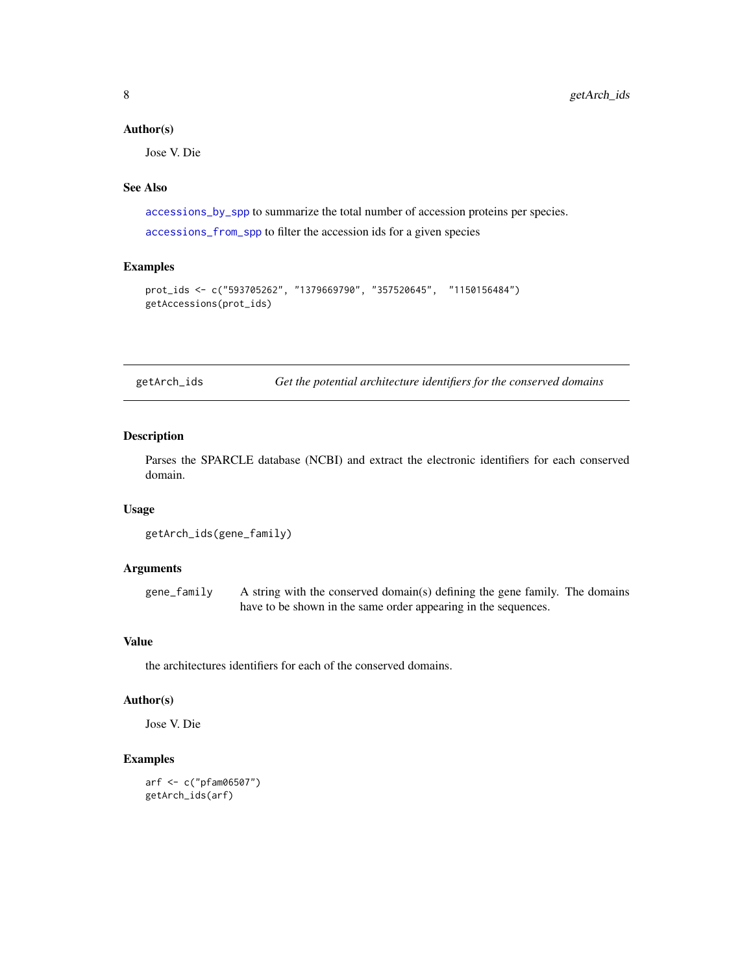#### <span id="page-7-0"></span>Author(s)

Jose V. Die

#### See Also

[accessions\\_by\\_spp](#page-1-1) to summarize the total number of accession proteins per species. [accessions\\_from\\_spp](#page-2-1) to filter the accession ids for a given species

#### Examples

```
prot_ids <- c("593705262", "1379669790", "357520645", "1150156484")
getAccessions(prot_ids)
```
<span id="page-7-1"></span>getArch\_ids *Get the potential architecture identifiers for the conserved domains*

#### Description

Parses the SPARCLE database (NCBI) and extract the electronic identifiers for each conserved domain.

#### Usage

```
getArch_ids(gene_family)
```
# Arguments

gene\_family A string with the conserved domain(s) defining the gene family. The domains have to be shown in the same order appearing in the sequences.

#### Value

the architectures identifiers for each of the conserved domains.

#### Author(s)

Jose V. Die

#### Examples

arf <- c("pfam06507") getArch\_ids(arf)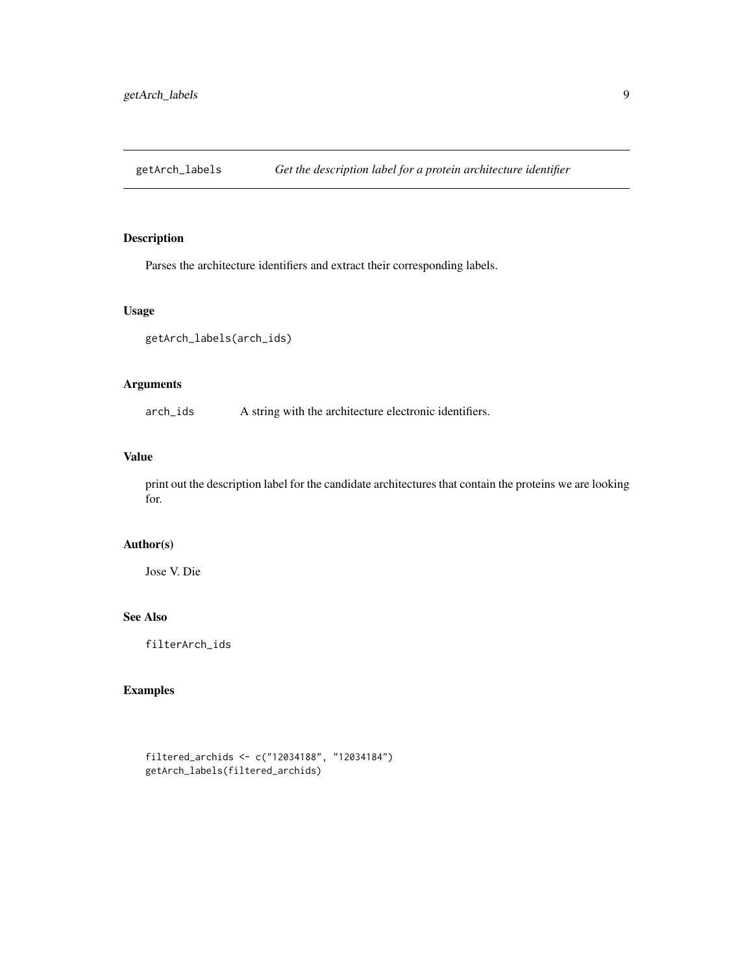<span id="page-8-0"></span>

Parses the architecture identifiers and extract their corresponding labels.

#### Usage

```
getArch_labels(arch_ids)
```
#### Arguments

arch\_ids A string with the architecture electronic identifiers.

#### Value

print out the description label for the candidate architectures that contain the proteins we are looking for.

#### Author(s)

Jose V. Die

#### See Also

filterArch\_ids

# Examples

```
filtered_archids <- c("12034188", "12034184")
getArch_labels(filtered_archids)
```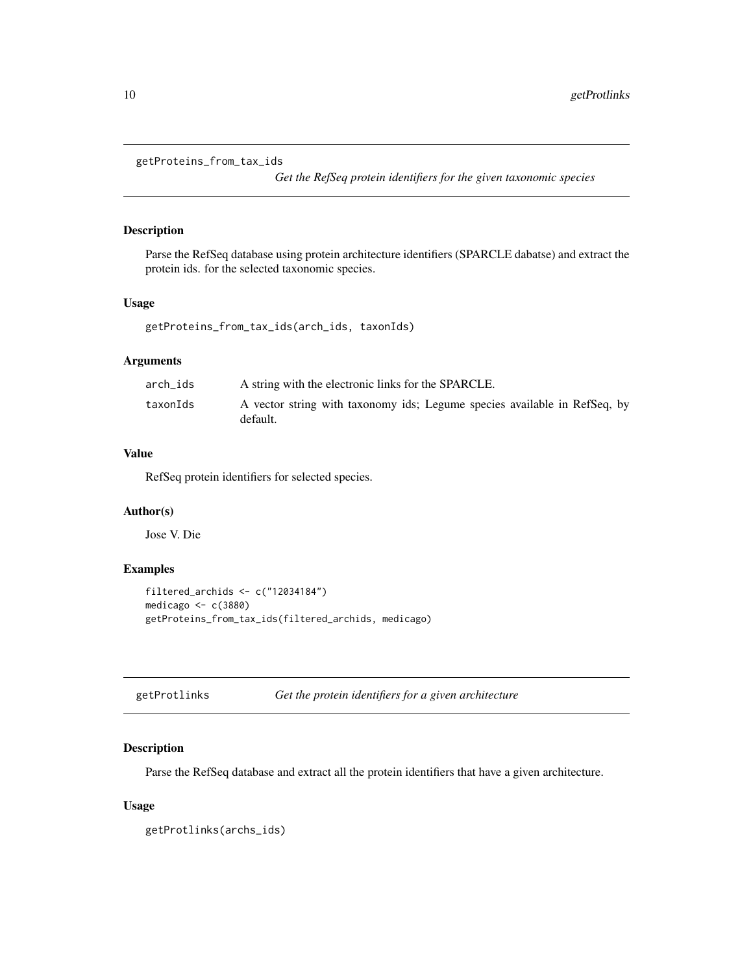```
getProteins_from_tax_ids
```
*Get the RefSeq protein identifiers for the given taxonomic species*

#### Description

Parse the RefSeq database using protein architecture identifiers (SPARCLE dabatse) and extract the protein ids. for the selected taxonomic species.

#### Usage

```
getProteins_from_tax_ids(arch_ids, taxonIds)
```
#### Arguments

| arch ids | A string with the electronic links for the SPARCLE.                                   |
|----------|---------------------------------------------------------------------------------------|
| taxonIds | A vector string with taxonomy ids; Legume species available in RefSeq, by<br>default. |

# Value

RefSeq protein identifiers for selected species.

#### Author(s)

Jose V. Die

#### Examples

```
filtered_archids <- c("12034184")
medicago <- c(3880)
getProteins_from_tax_ids(filtered_archids, medicago)
```

| getProtlinks | Get the protein identifiers for a given architecture |  |
|--------------|------------------------------------------------------|--|
|              |                                                      |  |

#### Description

Parse the RefSeq database and extract all the protein identifiers that have a given architecture.

#### Usage

```
getProtlinks(archs_ids)
```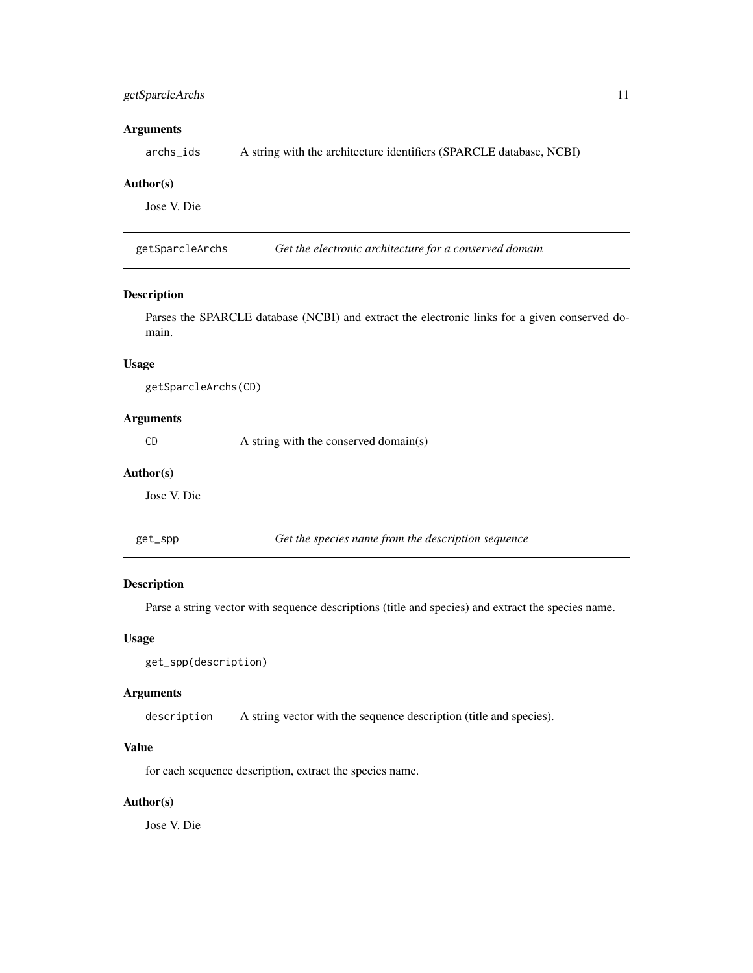#### <span id="page-10-0"></span>getSparcleArchs 11

#### Arguments

archs\_ids A string with the architecture identifiers (SPARCLE database, NCBI)

#### Author(s)

Jose V. Die

getSparcleArchs *Get the electronic architecture for a conserved domain*

#### Description

Parses the SPARCLE database (NCBI) and extract the electronic links for a given conserved domain.

#### Usage

getSparcleArchs(CD)

#### Arguments

 $CD$  A string with the conserved domain(s)

#### Author(s)

Jose V. Die

| $\sim$ |    |  |
|--------|----|--|
|        | bc |  |

pp **Get the species name from the description sequence** 

#### Description

Parse a string vector with sequence descriptions (title and species) and extract the species name.

#### Usage

```
get_spp(description)
```
#### Arguments

description A string vector with the sequence description (title and species).

#### Value

for each sequence description, extract the species name.

#### Author(s)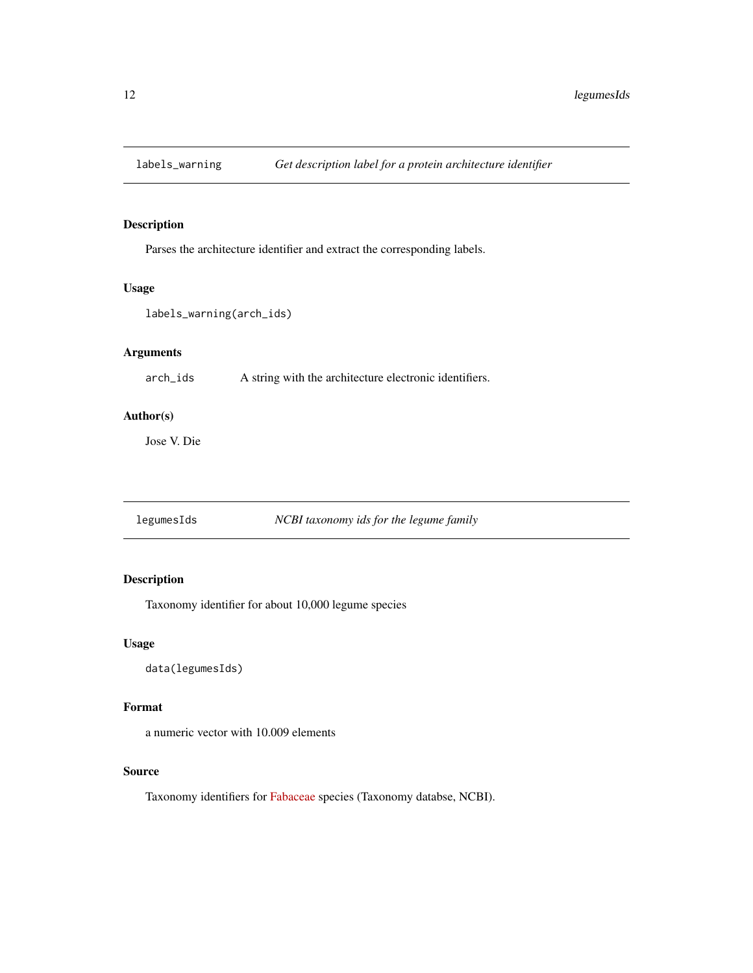<span id="page-11-0"></span>

Parses the architecture identifier and extract the corresponding labels.

#### Usage

```
labels_warning(arch_ids)
```
#### Arguments

arch\_ids A string with the architecture electronic identifiers.

#### Author(s)

Jose V. Die

legumesIds *NCBI taxonomy ids for the legume family*

#### Description

Taxonomy identifier for about 10,000 legume species

#### Usage

data(legumesIds)

#### Format

a numeric vector with 10.009 elements

#### Source

Taxonomy identifiers for [Fabaceae](https://www.ncbi.nlm.nih.gov/Taxonomy/Browser/wwwtax.cgi?id=3803) species (Taxonomy databse, NCBI).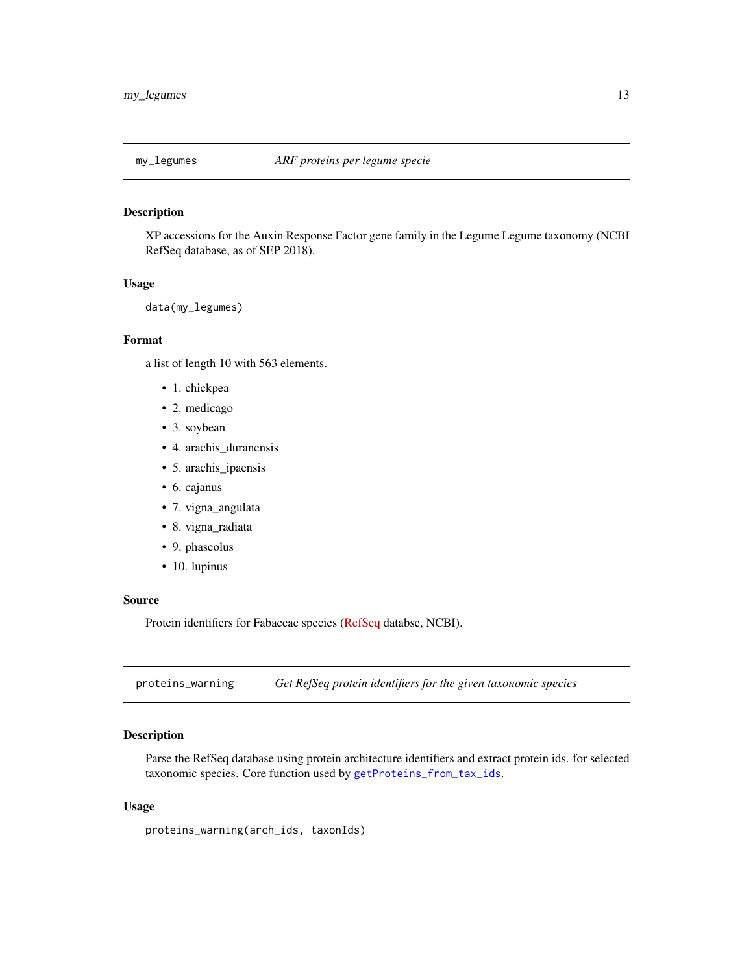<span id="page-12-0"></span>

XP accessions for the Auxin Response Factor gene family in the Legume Legume taxonomy (NCBI RefSeq database, as of SEP 2018).

#### Usage

data(my\_legumes)

#### Format

a list of length 10 with 563 elements.

- 1. chickpea
- 2. medicago
- 3. soybean
- 4. arachis\_duranensis
- 5. arachis\_ipaensis
- 6. cajanus
- 7. vigna\_angulata
- 8. vigna\_radiata
- 9. phaseolus
- 10. lupinus

#### Source

Protein identifiers for Fabaceae species [\(RefSeq](https://www.ncbi.nlm.nih.gov/refseq/) databse, NCBI).

proteins\_warning *Get RefSeq protein identifiers for the given taxonomic species*

#### Description

Parse the RefSeq database using protein architecture identifiers and extract protein ids. for selected taxonomic species. Core function used by [getProteins\\_from\\_tax\\_ids](#page-9-1).

#### Usage

proteins\_warning(arch\_ids, taxonIds)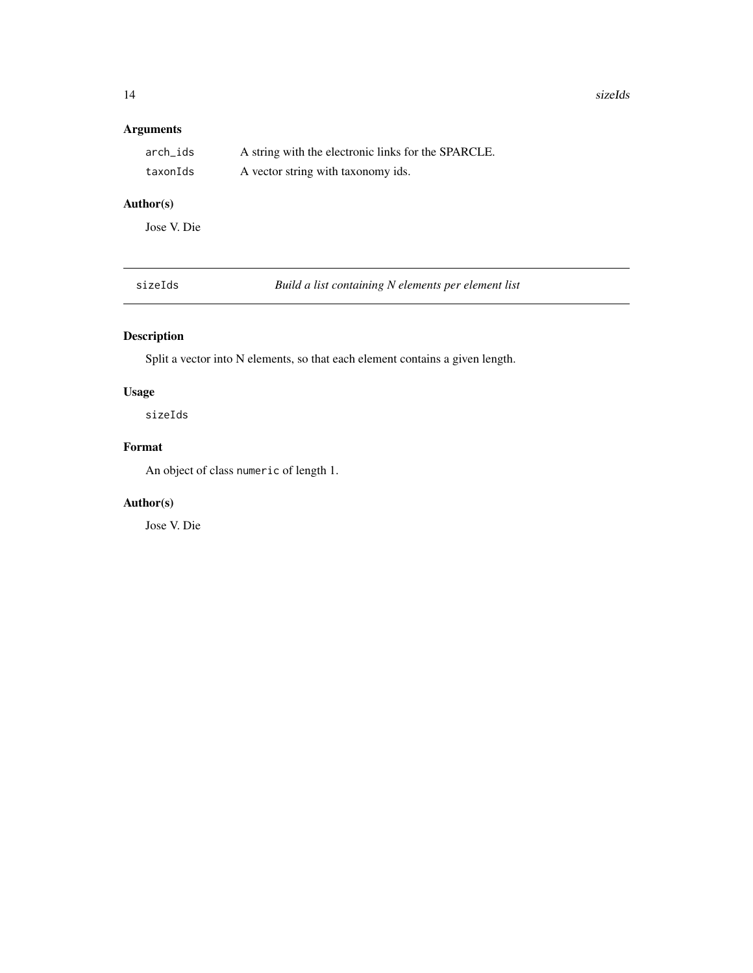<span id="page-13-0"></span>14 sizeIds sizeIds sizeIds sizeIds sizeIds sizeIds sizeIds sizeIds sizeIds sizeIds sizeIds sizeIds sizeIds sizeIds sizeIds sizeIds sizeIds sizeIds sizeIds sizeIds sizeIds sizeIds sizeIds sizeIds sizeIds sizeIds sizeIds siz

# Arguments

| arch ids | A string with the electronic links for the SPARCLE. |
|----------|-----------------------------------------------------|
| taxonIds | A vector string with taxonomy ids.                  |

# Author(s)

Jose V. Die

sizeIds *Build a list containing N elements per element list*

# Description

Split a vector into N elements, so that each element contains a given length.

# Usage

sizeIds

# Format

An object of class numeric of length 1.

# Author(s)